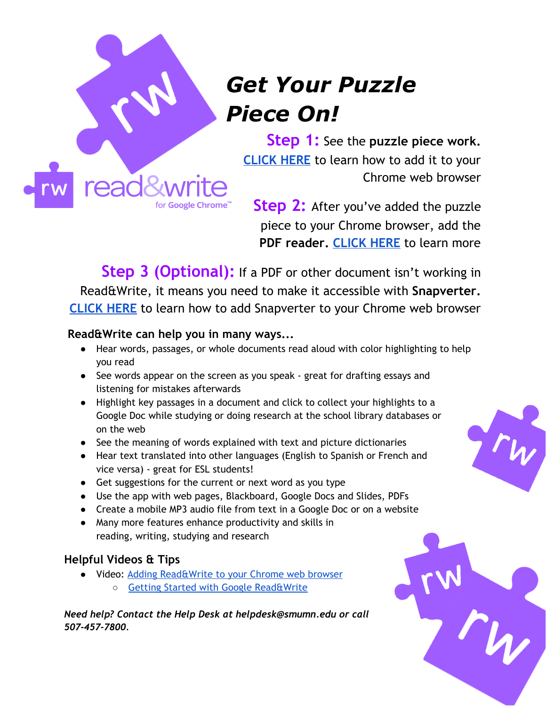

# *Get Your Puzzle Piece On!*

**Step 1:** See the **puzzle piece work. [CLICK](https://techfaq.smumn.edu/index.php?action=artikel&cat=58&id=440&artlang=en) HERE** to learn how to add it to your Chrome web browser

**Step 2:** After you've added the puzzle piece to your Chrome browser, add the **PDF reader. [CLICK](https://youtu.be/O0-KTtBmGuI) HERE** to learn more

**Step 3 (Optional):** If <sup>a</sup> PDF or other document isn't working in Read&Write, it means you need to make it accessible with **Snapverter. [CLICK](https://youtu.be/jNCz2AJuYNU) HERE** to learn how to add Snapverter to your Chrome web browser

#### **Read&Write can help you in many ways...**

- Hear words, passages, or whole documents read aloud with color highlighting to help you read
- See words appear on the screen as you speak great for drafting essays and listening for mistakes afterwards
- Highlight key passages in a document and click to collect your highlights to a Google Doc while studying or doing research at the school library databases or on the web
- See the meaning of words explained with text and picture dictionaries
- Hear text translated into other languages (English to Spanish or French and vice versa) - great for ESL students!
- Get suggestions for the current or next word as you type
- Use the app with web pages, Blackboard, Google Docs and Slides, PDFs
- Create a mobile MP3 audio file from text in a Google Doc or on a website
- Many more features enhance productivity and skills in reading, writing, studying and research

# **Helpful Videos & Tips**

- Video: Adding [Read&Write](https://youtu.be/4Bp0to8a9Z0) to your Chrome web browser
	- Getting Started with Google [Read&Write](https://techfaq.smumn.edu/index.php?action=artikel&cat=58&id=441&artlang=en)

*Need help? Contact the Help Desk at helpdesk@smumn.edu or call 507-457-7800.*